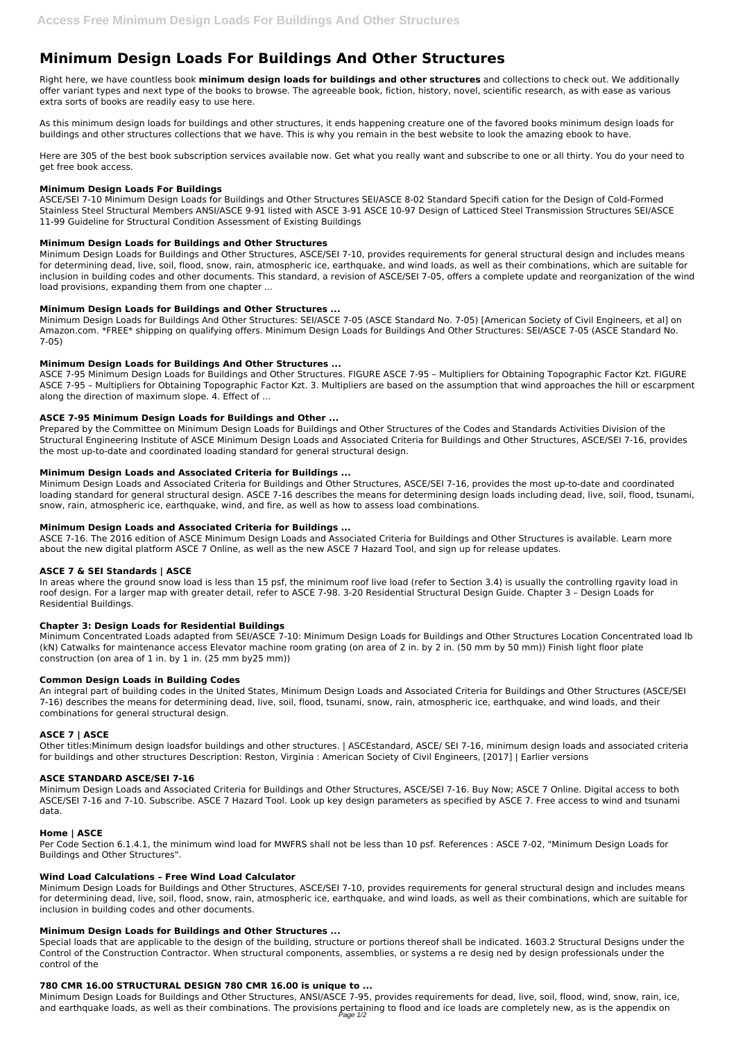# **Minimum Design Loads For Buildings And Other Structures**

Right here, we have countless book **minimum design loads for buildings and other structures** and collections to check out. We additionally offer variant types and next type of the books to browse. The agreeable book, fiction, history, novel, scientific research, as with ease as various extra sorts of books are readily easy to use here.

As this minimum design loads for buildings and other structures, it ends happening creature one of the favored books minimum design loads for buildings and other structures collections that we have. This is why you remain in the best website to look the amazing ebook to have.

Here are 305 of the best book subscription services available now. Get what you really want and subscribe to one or all thirty. You do your need to get free book access.

#### **Minimum Design Loads For Buildings**

ASCE/SEI 7-10 Minimum Design Loads for Buildings and Other Structures SEI/ASCE 8-02 Standard Specifi cation for the Design of Cold-Formed Stainless Steel Structural Members ANSI/ASCE 9-91 listed with ASCE 3-91 ASCE 10-97 Design of Latticed Steel Transmission Structures SEI/ASCE 11-99 Guideline for Structural Condition Assessment of Existing Buildings

## **Minimum Design Loads for Buildings and Other Structures**

Minimum Design Loads for Buildings and Other Structures, ASCE/SEI 7-10, provides requirements for general structural design and includes means for determining dead, live, soil, flood, snow, rain, atmospheric ice, earthquake, and wind loads, as well as their combinations, which are suitable for inclusion in building codes and other documents. This standard, a revision of ASCE/SEI 7-05, offers a complete update and reorganization of the wind load provisions, expanding them from one chapter ...

## **Minimum Design Loads for Buildings and Other Structures ...**

Minimum Design Loads for Buildings And Other Structures: SEI/ASCE 7-05 (ASCE Standard No. 7-05) [American Society of Civil Engineers, et al] on Amazon.com. \*FREE\* shipping on qualifying offers. Minimum Design Loads for Buildings And Other Structures: SEI/ASCE 7-05 (ASCE Standard No. 7-05)

## **Minimum Design Loads for Buildings And Other Structures ...**

ASCE 7-95 Minimum Design Loads for Buildings and Other Structures. FIGURE ASCE 7-95 – Multipliers for Obtaining Topographic Factor Kzt. FIGURE ASCE 7-95 – Multipliers for Obtaining Topographic Factor Kzt. 3. Multipliers are based on the assumption that wind approaches the hill or escarpment along the direction of maximum slope. 4. Effect of ...

# **ASCE 7-95 Minimum Design Loads for Buildings and Other ...**

Prepared by the Committee on Minimum Design Loads for Buildings and Other Structures of the Codes and Standards Activities Division of the Structural Engineering Institute of ASCE Minimum Design Loads and Associated Criteria for Buildings and Other Structures, ASCE/SEI 7-16, provides the most up-to-date and coordinated loading standard for general structural design.

# **Minimum Design Loads and Associated Criteria for Buildings ...**

Minimum Design Loads and Associated Criteria for Buildings and Other Structures, ASCE/SEI 7-16, provides the most up-to-date and coordinated loading standard for general structural design. ASCE 7-16 describes the means for determining design loads including dead, live, soil, flood, tsunami, snow, rain, atmospheric ice, earthquake, wind, and fire, as well as how to assess load combinations.

#### **Minimum Design Loads and Associated Criteria for Buildings ...**

ASCE 7-16. The 2016 edition of ASCE Minimum Design Loads and Associated Criteria for Buildings and Other Structures is available. Learn more about the new digital platform ASCE 7 Online, as well as the new ASCE 7 Hazard Tool, and sign up for release updates.

# **ASCE 7 & SEI Standards | ASCE**

In areas where the ground snow load is less than 15 psf, the minimum roof live load (refer to Section 3.4) is usually the controlling rgavity load in roof design. For a larger map with greater detail, refer to ASCE 7-98. 3-20 Residential Structural Design Guide. Chapter 3 – Design Loads for Residential Buildings.

#### **Chapter 3: Design Loads for Residential Buildings**

Minimum Concentrated Loads adapted from SEI/ASCE 7-10: Minimum Design Loads for Buildings and Other Structures Location Concentrated load lb (kN) Catwalks for maintenance access Elevator machine room grating (on area of 2 in. by 2 in. (50 mm by 50 mm)) Finish light floor plate construction (on area of 1 in. by 1 in. (25 mm by25 mm))

#### **Common Design Loads in Building Codes**

An integral part of building codes in the United States, Minimum Design Loads and Associated Criteria for Buildings and Other Structures (ASCE/SEI 7-16) describes the means for determining dead, live, soil, flood, tsunami, snow, rain, atmospheric ice, earthquake, and wind loads, and their combinations for general structural design.

#### **ASCE 7 | ASCE**

Other titles:Minimum design loadsfor buildings and other structures. | ASCEstandard, ASCE/ SEI 7-16, minimum design loads and associated criteria for buildings and other structures Description: Reston, Virginia : American Society of Civil Engineers, [2017] | Earlier versions

#### **ASCE STANDARD ASCE/SEI 7-16**

Minimum Design Loads and Associated Criteria for Buildings and Other Structures, ASCE/SEI 7-16. Buy Now; ASCE 7 Online. Digital access to both ASCE/SEI 7-16 and 7-10. Subscribe. ASCE 7 Hazard Tool. Look up key design parameters as specified by ASCE 7. Free access to wind and tsunami data.

## **Home | ASCE**

Per Code Section 6.1.4.1, the minimum wind load for MWFRS shall not be less than 10 psf. References : ASCE 7-02, "Minimum Design Loads for Buildings and Other Structures".

#### **Wind Load Calculations – Free Wind Load Calculator**

Minimum Design Loads for Buildings and Other Structures, ASCE/SEI 7-10, provides requirements for general structural design and includes means for determining dead, live, soil, flood, snow, rain, atmospheric ice, earthquake, and wind loads, as well as their combinations, which are suitable for inclusion in building codes and other documents.

#### **Minimum Design Loads for Buildings and Other Structures ...**

Special loads that are applicable to the design of the building, structure or portions thereof shall be indicated. 1603.2 Structural Designs under the Control of the Construction Contractor. When structural components, assemblies, or systems a re desig ned by design professionals under the control of the

#### **780 CMR 16.00 STRUCTURAL DESIGN 780 CMR 16.00 is unique to ...**

Minimum Design Loads for Buildings and Other Structures, ANSI/ASCE 7-95, provides requirements for dead, live, soil, flood, wind, snow, rain, ice, and earthquake loads, as well as their combinations. The provisions pertaining to flood and ice loads are completely new, as is the appendix on Page 1/2